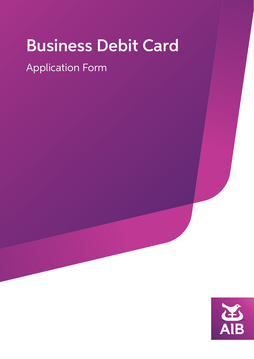# Business Debit Card

# Application Form

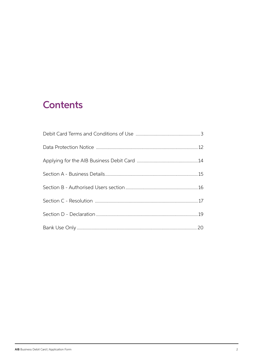# **Contents**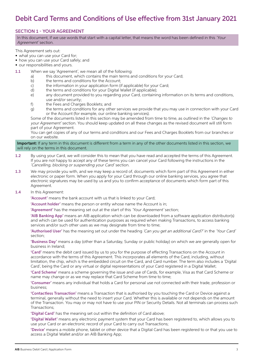# Debit Card Terms and Conditions of Use effective from 31st January 2021

### SECTION 1 - YOUR AGREEMENT

In this document, if we use words that start with a capital letter, that means the word has been defined in this 'Your Agreement' section.

This Agreement sets out:

- what you can use your Card for;
- how you can use your Card safely; and
- our responsibilities and yours.
- 1.1 When we say 'Agreement', we mean all of the following:
	- a) this document, which contains the main terms and conditions for your Card;
	- b) the terms and conditions for the Account;
	- c) the information in your application form (if applicable) for your Card;
	- d) the terms and conditions for your Digital Wallet (if applicable);
	- e) any document provided to you regarding your Card, containing information on its terms and conditions, use and/or security;
	- f) the Fees and Charges Booklets; and
	- g) the terms and conditions for any other services we provide that you may use in connection with your Card or the Account (for example, our online banking services).

 Some of the documents listed in this section may be amended from time to time, as outlined in the 'Changes to your Agreement' section. You should keep updated on all these changes as the revised document will still form part of your Agreement.

 You can get copies of any of our terms and conditions and our Fees and Charges Booklets from our branches or on our website.

#### Important: If any term in this document is different from a term in any of the other documents listed in this section, we will rely on the terms in this document.

- 1.2 By using your Card, we will consider this to mean that you have read and accepted the terms of this Agreement. If you are not happy to accept any of these terms you can cancel your Card following the instructions in the 'Cancelling, blocking or suspending your Card' section.
- 1.3 We may provide you with, and we may keep a record of, documents which form part of this Agreement in either electronic or paper form. When you apply for your Card through our online banking services, you agree that electronic signatures may be used by us and you to confirm acceptance of documents which form part of this Agreement.

#### 1.4 In this Agreement:

'Account' means the bank account with us that is linked to your Card;

'Account holder' means the person or entity whose name the Account is in;

'Agreement' has the meaning set out at the start of this 'Your Agreement' section;

 'AIB Banking App' means an AIB application which can be downloaded from a software application distributor(s) and which can be used for authentication purposes as required when making Transactions, to access banking services and/or such other uses as we may designate from time to time;

 'Authorised User' has the meaning set out under the heading 'Can you get an additional Card?' in the 'Your Card' section;

 'Business Day' means a day (other than a Saturday, Sunday or public holiday) on which we are generally open for business in Ireland;

 'Card' means the debit card issued by us to you for the purpose of effecting Transactions on the Account in accordance with the terms of this Agreement. This incorporates all elements of the Card, including, without limitation, the chip, which is the embedded circuit on the Card, and Card number. The term also includes a 'Digital Card', being the Card or any virtual or digital representations of your Card registered in a Digital Wallet;

 'Card Scheme' means a scheme governing the issue and use of Cards, for example, Visa as that Card Scheme or name may change or as we may replace that Card Scheme from time to time;

 'Consumer' means any individual that holds a Card for personal use not connected with their trade, profession or business;

 'Contactless Transaction' means a Transaction that is authorised by you touching the Card or Device against a terminal, generally without the need to insert your Card. Whether this is available or not depends on the amount of the Transaction. You may or may not have to use your PIN or Security Details. Not all terminals can process such Transactions;

'Digital Card' has the meaning set out within the definition of Card above;

 'Digital Wallet' means any electronic payment system that your Card has been registered to, which allows you to use your Card or an electronic record of your Card to carry out Transactions;

 'Device' means a mobile phone, tablet or other device that a Digital Card has been registered to or that you use to access a Digital Wallet and/or an AIB Banking App;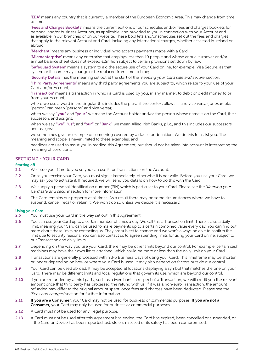'EEA' means any country that is currently a member of the European Economic Area. This may change from time to time.

 'Fees and Charges Booklets' means the current editions of our schedules and/or fees and charges booklets for personal and/or business Accounts, as applicable, and provided to you in connection with your Account and as available in our branches or on our website. These booklets and/or schedules set out the fees and charges that apply to the relevant Account and Card, including any international charges, whether accessed in Ireland or abroad;

'Merchant' means any business or individual who accepts payments made with a Card;

 'Microenterprise' means any enterprise that employs less than 10 people and whose annual turnover and/or annual balance sheet does not exceed €2million subject to certain provisions set down by law;

 'Safeguard System' means a system to aid the secure use of your Card online, for example, Visa Secure, as that system or its name may change or be replaced from time to time;

'Security Details' has the meaning set out at the start of the 'Keeping your Card safe and secure' section;

 'Third Party Agreements' means any third party agreements you are subject to, which relate to your use of your Card and/or Account;

 'Transaction' means a transaction in which a Card is used by you, in any manner, to debit or credit money to or from your Account;

 where we use a word in the singular this includes the plural if the context allows it, and vice versa (for example, "person" can mean "persons" and vice versa);

when we say "you" and "your" we mean the Account holder and/or the person whose name is on the Card, their successors and assigns;

when we say "we"; "us"; and "our" or "Bank" we mean Allied Irish Banks, p.l.c., and this includes our successors and assigns;

we sometimes give an example of something covered by a clause or definition. We do this to assist you. The meaning and scope is never limited to these examples; and

 headings are used to assist you in reading this Agreement, but should not be taken into account in interpreting the meaning of conditions.

#### SECTION 2 - YOUR CARD

# Starting off<br>2.1 We

- We issue your Card to you so you can use it for Transactions on the Account.
- 2.2 Once you receive your Card, you must sign it immediately, otherwise it is not valid. Before you use your Card, we may ask you to activate it. If required, we will send you details on how to do this with the Card.
- 2.3 We supply a personal identification number (PIN) which is particular to your Card. Please see the 'Keeping your Card safe and secure' section for more information.
- 2.4 The Card remains our property at all times. As a result there may be some circumstances where we have to suspend, cancel, recall or retain it. We won't do so unless we decide it is necessary.

#### Using your Card

2.5 You must use your Card in the way set out in this Agreement.

- 2.6 You can use your Card up to a certain number of times a day. We call this a Transaction limit. There is also a daily limit, meaning your Card can be used to make payments up to a certain combined value every day. You can find out more about these limits by contacting us. They are subject to change and we won't always be able to confirm the limit due to security reasons. You can also contact us to agree spending limits for using your Card online, subject to our Transaction and daily limits.
- 2.7 Depending on the way you use your Card, there may be other limits beyond our control. For example, certain cash machines may have their own limits attached, which could be more or less than the daily limit on your Card.
- 2.8 Transactions are generally processed within 3-5 Business Days of using your Card. This timeframe may be shorter or longer depending on how or where your Card is used. It may also depend on factors outside our control.
- 2.9 Your Card can be used abroad. It may be accepted at locations displaying a symbol that matches the one on your Card. There may be different limits and local regulations that govern its use, which are beyond our control.
- 2.10 If you are refunded by a third party, such as a Merchant, in respect of a Transaction, we will credit you the relevant amount once that third party has processed the refund with us. If it was a non-euro Transaction, the amount refunded may differ to the original amount spent, once fees and charges have been deducted. Please see the 'Fees and charges' section for further information.
- 2.11 If you are a Consumer, your Card may not be used for business or commercial purposes. If you are not a Consumer, your Card may only be used for business or commercial purposes.
- 2.12 A Card must not be used for any illegal purpose.
- 2.13 A Card must not be used after this Agreement has ended, the Card has expired, been cancelled or suspended, or if the Card or Device has been reported lost, stolen, misused or its safety has been compromised.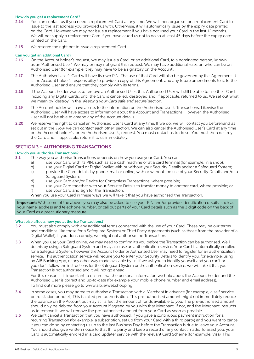#### How do you get a replacement Card?

- 2.14 You can contact us if you need a replacement Card at any time. We will then organise for a replacement Card to issue to the last address you provided us with. Otherwise, it will automatically issue by the expiry date printed on the Card. However, we may not issue a replacement if you have not used your Card in the last 12 months. We will not supply a replacement Card if you have asked us not to do so at least 45 days before the expiry date printed on the Card.
- 2.15 We reserve the right not to issue a replacement Card.

#### Can you get an additional Card?

- 2.16 On the Account holder's request, we may issue a Card, or an additional Card, to a nominated person, known as an 'Authorised User'. We may or may not grant this request. We may have additional rules on who can be an Authorised User (for example, they may have to be a signatory on the Account).
- 2.17 The Authorised User's Card will have its own PIN. The use of that Card will also be governed by this Agreement. It is the Account holder's responsibility to provide a copy of this Agreement, and any future amendments to it, to the Authorised User and ensure that they comply with its terms.
- 2.18 If the Account holder wants to remove an Authorised User, that Authorised User will still be able to use their Card, including any Digital Cards, until the Card is cancelled, destroyed and, if applicable, returned to us. We set out what we mean by 'destroy' in the 'Keeping your Card safe and secure' section.
- 2.19 The Account holder will have access to the information on the Authorised User's Transactions. Likewise the Authorised User will have access to information about the Account and Transactions. However, the Authorised User will not be able to amend any of the Account details.
- 2.20 We reserve the right to cancel an Authorised User's Card at any time. If we do, we will contact you beforehand as set out in the *'How we can contact each other'* section. We can also cancel the Authorised User's Card at any time on the Account holder's, or the Authorised User's, request. You must contact us to do so. You must then destroy the Card and, if applicable, return it to us immediately.

#### SECTION 3 – AUTHORISING TRANSACTIONS

#### How do you authorise Transactions?

- 3.1 The way you authorise Transactions depends on how you use your Card. You can:
	- a) use your Card with its PIN, such as at a cash machine or at a card terminal (for example, in a shop);
	- b) use your Digital Card or Digital Wallet with or without your Security Details and/or a Safeguard System;
	- c) provide the Card details by phone, mail or online, with or without the use of your Security Details and/or a Safeguard System;
	- d) use your Card and/or Device for Contactless Transactions, where possible;
	- e) use your Card together with your Security Details to transfer money to another card, where possible; or
	- f) use your Card and sign for the Transaction.

When you use your Card in these ways we will take it that you have authorised the Transaction.

Important: With some of the above, you may also be asked to use your PIN and/or provide identification details, such as your name, address and telephone number, or call out parts of your Card details such as the 3 digit code on the back of your Card as a precautionary measure.

#### What else affects how you authorise Transactions?

- 3.2 You must also comply with any additional terms connected with the use of your Card. These may be our terms and conditions (like those for a Safeguard System) or Third Party Agreements (such as those from the provider of a Digital Wallet). If you don't comply, we might not authorise the Transaction.
- 3.3 When you use your Card online, we may need to confirm it's you before the Transaction can be authorised. We'll do this by using a Safeguard System and may also use an authentication service. Your Card is automatically enrolled for a Safeguard System, however the Account holder or Authorised User may need to register for an authentication service. This authentication service will require you to enter your Security Details to identify you, for example, using an AIB Banking App, or any other way made available by us. If we ask you to identify yourself and you can't or you don't follow the instructions for the Safeguard System or the authentication service, we will take it that your Transaction is not authorised and it will not go ahead.

 For this reason, it is important to ensure that the personal information we hold about the Account holder and the Authorised User is correct and up-to-date (for example your mobile phone number and email address). To find out more please go to www.aib.ie/webshopping

- 3.4 In some cases, you may agree to authorise a Transaction with a Merchant in advance (for example, a self-service petrol station or hotel.) This is called pre-authorisation. This pre-authorised amount might not immediately reduce the balance on the Account but may still affect the amount of funds available to you. The pre-authorised amount should only be debited from your Account if agreed by you with that Merchant. If not, and the Merchant instructs us to remove it, we will remove the pre-authorised amount from your Card as soon as possible.
- 3.5 We can't cancel a Transaction that you have authorised. If you gave a continuous payment instruction for a recurring Transaction (for example, a subscription, set up from your Card with a third party) and you want to cancel it you can do so by contacting us up to the last Business Day before the Transaction is due to leave your Account. You should also give written notice to that third party and keep a record of any contact made. To assist you, your Card is automatically enrolled in a card updater service with the relevant Card Scheme (for example, Visa). This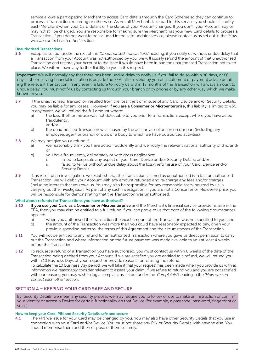service allows a participating Merchant to access Card details through the Card Scheme so they can continue to process a Transaction, recurring or otherwise. As not all Merchants take part in this service, you should still notify each Merchant when your Card details or the status of your Account changes. If you don't, your Account may or may not still be charged. You are responsible for making sure the Merchant has your new Card details to process a Transaction. If you do not want to be included in the card updater service, please contact us as set out in the *'How we can contact each other'* section.

#### Unauthorised Transactions

3.6 Except as set out under the rest of this 'Unauthorised Transactions' heading, if you notify us without undue delay that a Transaction from your Account was not authorised by you, we will usually refund the amount of that unauthorised Transaction and restore your Account to the state it would have been in had the unauthorised Transaction not taken place. We will not have any further liability to you in this respect.

Important: We will normally say that there has been undue delay to notify us if you fail to do so within 30 days, or 60 days if the receiving financial institution is outside the EEA, after receipt by you of a statement or payment advice detailing the relevant Transaction. In any event, a failure to notify us within 13 months of the Transaction will always amount to undue delay. You must notify us by contacting us through your branch or by phone or by any other way which we make known to you.

- 3.7 If the unauthorised Transaction resulted from the loss, theft or misuse of any Card, Device and/or Security Details, you may be liable for any losses. However, if you are a Consumer or Microenterprise, this liability is limited to  $\epsilon$ 50. In any event, we will refund the full amount where:
	- a) the loss, theft or misuse was not detectable to you prior to a Transaction, except where you have acted fraudulently; and/or
	- b) the unauthorised Transaction was caused by the acts or lack of action on our part (including any employee, agent or branch of ours or a body to which we have outsourced activities).
- 3.8 We may not give you a refund if:
	- a) we reasonably think you have acted fraudulently and we notify the relevant national authority of this; and/ or
	- b) you have fraudulently, deliberately or with gross negligence:
		- i. failed to keep safe any aspect of your Card, Device and/or Security Details; and/or
		- ii. failed to tell us without undue delay about the loss/theft/misuse of your Card, Device and/or Security Details.
- 3.9 If, as result of an investigation, we establish that the Transaction claimed as unauthorised is in fact an authorised Transaction, we will debit your Account with any amount refunded and re-charge any fees and/or charges (including interest) that you owe us. You may also be responsible for any reasonable costs incurred by us in carrying out the investigation. As part of any such investigation, if you are not a Consumer or Microenterprise, you will be responsible for demonstrating that the Transaction was unauthorised.

#### What about refunds for Transactions you have authorised?

- 3.10 If you use your Card as a Consumer or Microenterprise and the Merchant's financial service provider is also in the EEA, then you may also be entitled to a full refund if you can prove to us that both of the following circumstances applied:
	- a) when you authorised the Transaction the exact amount of the Transaction was not specified to you; and
	- b) the amount of the Transaction was more than you could have reasonably expected to pay, given your previous spending patterns, the terms of this Agreement and the circumstances of the Transaction.
- 3.11 You will not be entitled to any refund for an authorised Transaction where you gave us direct permission to carry out the Transaction and where information on the future payment was made available to you at least 4 weeks before the Transaction.

3.12 To request a refund of a Transaction you have authorised, you must contact us within 8 weeks of the date of the Transaction being debited from your Account. If we are satisfied you are entitled to a refund, we will refund you within 10 Business Days of your request or provide reasons for refusing the refund. To calculate the 10 Business Day period, we will take it that your request has been made when you provide us with all information we reasonably consider relevant to assess your claim. If we refuse to refund you and you are not satisfied with our reasons, you may wish to log a complaint as set out under the 'Complaints' heading in the 'How we can contact each other' section.

#### SECTION 4 – KEEPING YOUR CARD SAFE AND SECURE

By 'Security Details' we mean any security process we may require you to follow or use to make an instruction or confirm your identity or access a Device for certain functionality on that Device (for example, a passcode, password, fingerprint or voice).

#### How to keep your Card, PIN and Security Details safe and secure

4.1 The PIN we issue for your Card may be changed by you. You may also have other Security Details that you use in connection with your Card and/or Device. You must not share any PIN or Security Details with anyone else. You should memorise them and then dispose of them securely.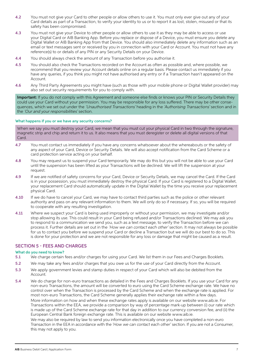- 4.2 You must not give your Card to other people or allow others to use it. You must only ever give out any of your Card details as part of a Transaction, to verify your identity to us or to report it as lost, stolen, misused or that its safety has been compromised.
- 4.3 You must not give your Device to other people or allow others to use it as they may be able to access or use your Digital Card or AIB Banking App. Before you replace or dispose of a Device, you must ensure you delete any Digital Wallet or AIB Banking App from that Device. You should also immediately delete any information such as an email or text messages sent or received by you in connection with your Card or Account. You must not have any reference(s) to or details of any PIN or any Security Details on your Device.
- 4.4 You should always check the amount of any Transaction before you authorise it.
- 4.5 You should also check the Transactions recorded on the Account as often as possible and, where possible, we recommend that you review your Account details online on a regular basis. Please contact us immediately if you have any queries, if you think you might not have authorised any entry or if a Transaction hasn't appeared on the Account.
- 4.6 Any Third Party Agreements you might have (such as those with your mobile phone or Digital Wallet provider) may also set out security requirements for you to comply with.

Important: If you do not comply with this Agreement and someone else finds or knows your PIN or Security Details they could use your Card without your permission. You may be responsible for any loss suffered. There may be other consequences, which we set out under the 'Unauthorised Transactions' heading in the 'Authorising Transactions' section and in the 'Our and your responsibilities' section.

#### What happens if you or we have any security concerns?

When we say you must destroy your Card, we mean that you must cut your physical Card in two through the signature, magnetic strip and chip and return it to us. It also means that you must deregister or delete all digital versions of that Card.

- 4.7 You must contact us immediately if you have any concerns whatsoever about the whereabouts or the safety of any aspect of your Card, Device or Security Details. We will also accept notification from the Card Scheme or a card protection service acting on your behalf.
- 4.8 You may request us to suspend your Card temporarily. We may do this but you will not be able to use your Card until the suspension has been lifted as your Transactions will be declined. We will lift the suspension at your request.
- 4.9 If we are notified of safety concerns for your Card, Device or Security Details, we may cancel the Card. If the Card is in your possession, you must immediately destroy the physical Card. If your Card is registered to a Digital Wallet, your replacement Card should automatically update in the Digital Wallet by the time you receive your replacement physical Card.
- 4.10 If we do have to cancel your Card, we may have to contact third parties such as the police or other relevant authority and pass on any relevant information to them. We will only do so if necessary. If so, you will be required to cooperate with any resulting investigation.
- 4.11 Where we suspect your Card is being used improperly or without your permission, we may investigate and/or stop allowing its use. This could result in your Card being refused and/or Transactions declined. We may ask you to respond to a communication we send you, such as a text message, to verify the Transaction before we can process it. Further details are set out in the 'How we can contact each other' section. It may not always be possible for us to contact you before we suspend your Card or decline a Transaction but we will do our best to do so. This is done for your protection and we are not responsible for any loss or damage that might be caused as a result.

#### SECTION 5 - FEES AND CHARGES

#### What do you need to know?

- 5.1 We charge certain fees and/or charges for using your Card. We list them in our Fees and Charges Booklets.
- 5.2 We may take any fees and/or charges that you owe us for the use of your Card directly from the Account.
- 5.3 We apply government levies and stamp duties in respect of your Card which will also be debited from the Account.
- 5.4 We do charge for non-euro transactions as detailed in the Fees and Charges Booklets. If you use your Card for any non-euro Transactions, the amount will be converted to euro using the Card Scheme exchange rate. We have no control over when the Transaction is processed by the Card Scheme and when the exchange rate is applied. For most non-euro Transactions, the Card Scheme generally applies their exchange rate within a few days. More information on how and when these exchange rates apply is available on our website www.aib.ie. For Transactions within the EEA, we provide a comparison by way of percentage mark-up between (i) our rate which is made up of the Card Scheme exchange rate for that day in addition to our currency conversion fee, and (ii) the European Central Bank foreign exchange rate. This is available on our website www.aib.ie.

We may also be required by law to send you information electronically once you have completed a non-euro Transaction in the EEA in accordance with the *'How we can contact each other'* section. If you are not a Consumer, this may not apply to you.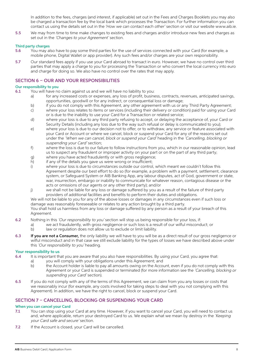In addition to the fees, charges (and interest, if applicable) set out in the Fees and Charges Booklets you may also be charged a transaction fee by the local bank which processes the Transaction. For further information you can contact us using the details set out in the *'How we can contact each other'* section or visit our website www.aib.ie.

5.5 We may from time to time make changes to existing fees and charges and/or introduce new fees and charges as set out in the 'Changes to your Agreement' section.

#### Third party charges

- 5.6 You may also have to pay some third parties for the use of services connected with your Card (for example, a mobile phone, Digital Wallet or app provider). Any such fees and/or charges are your own responsibility.
- 5.7 Our standard fees apply if you use your Card abroad to transact in euro. However, we have no control over third parties that may apply a charge to you for processing the Transaction or who convert the local currency into euro and charge for doing so. We also have no control over the rates that may apply.

#### SECTION 6 – OUR AND YOUR RESPONSIBILITIES

#### Our responsibility to you

- 6.1 You will have no claim against us and we will have no liability to you:
	- a) for any increased costs or expenses, any loss of profit, business, contracts, revenues, anticipated savings, opportunities, goodwill or for any indirect, or consequential loss or damage;
	- b) if you do not comply with this Agreement, any other agreement with us or any Third Party Agreement;
	- c) where your loss relates to items or services (including their delivery or condition) paid for using your Card or is due to the inability to use your Card for a Transaction or related service;
	- d) where your loss is due to any third party refusing to accept, or delaying the acceptance of, your Card or Security Details (including any loss due to the way such refusal or delay is communicated to you);
	- e) where your loss is due to our decision not to offer, or to withdraw, any service or feature associated with your Card or Account or where we cancel, block or suspend your Card for any of the reasons set out under the 'When we can cancel, block or suspend your Card' heading in the 'Cancelling, blocking or suspending your Card' section;
	- f) where the loss is due to our failure to follow instructions from you, which in our reasonable opinion, lead us to suspect any fraudulent or improper activity on your part or on the part of any third party;
	- g) where you have acted fraudulently or with gross negligence;
	- h) if any of the details you gave us were wrong or insufficient;
	- i) where your loss is due to circumstances outside our control, which meant we couldn't follow this Agreement despite our best effort to do so (for example, a problem with a payment, settlement, clearance system, or Safeguard System or AIB Banking App, any labour disputes, act of God, government or state, war, insurrection, embargo or inability to communicate for whatever reason, contagious disease or the acts or omissions of our agents or any other third party); and/or
	- j) we shall not be liable for any loss or damage suffered by you as a result of the failure of third party providers of additional facilities and benefits to perform their duties and obligations.

 We will not be liable to you for any of the above losses or damages in any circumstances even if such loss or damage was reasonably foreseeable or relates to any action brought by a third party.

 You shall hold us harmless from any loss or damage suffered by any person as a result of your breach of this Agreement.

- 6.2 Nothing in this 'Our responsibility to you' section will stop us being responsible for your loss, if:
	- a) we act fraudulently, with gross negligence or such loss is a result of our wilful misconduct; or
		- b) law or regulation does not allow us to exclude or limit liability.
- 6.3 If you are not a Consumer, the only liability we will have to you will be as a direct result of our gross negligence or wilful misconduct and in that case we still exclude liability for the types of losses we have described above under this 'Our responsibility to you' heading.

#### Your responsibility to us

- 6.4 It is important that you are aware that you also have responsibilities. By using your Card, you agree that:
	- a) you will comply with your obligations under this Agreement; and
	- b) the Account holder is liable to pay all amounts owing on the Account, even if you do not comply with this Agreement or your Card is suspended or terminated (for more information see the 'Cancelling, blocking or suspending your Card' section).
- 6.5 If you do not comply with any of the terms of this Agreement, we can claim from you any losses or costs that we reasonably incur (for example, any costs involved for taking steps to deal with you not complying with this Agreement). In addition, we have the right to cancel, block or suspend your Card.

#### SECTION 7 – CANCELLING, BLOCKING OR SUSPENDING YOUR CARD

#### When you can cancel your Card

- 7.1 You can stop using your Card at any time. However, if you want to cancel your Card, you will need to contact us and, where applicable, return your destroyed Card to us. We explain what we mean by destroy in the 'Keeping' your Card safe and secure' section.
- 7.2 If the Account is closed, your Card will be cancelled.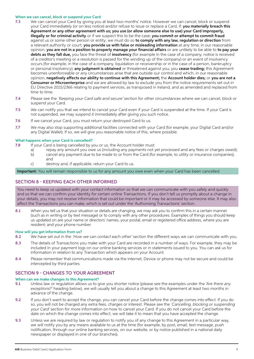#### When we can cancel, block or suspend your Card

- 7.3 We can cancel your Card by giving you at least two months' notice. However we can cancel, block or suspend your Card immediately (or on less notice) and/or refuse to issue or replace a Card, if: you materially breach this Agreement or any other agreement with us; you use (or allow someone else to use) your Card improperly, illegally or for criminal activity or if we suspect this to be the case; you commit or attempt to commit fraud against us or some other person or entity; we must do so to comply with any law, regulation or direction from a relevant authority or court; you provide us with false or misleading information at any time; in our reasonable opinion, you are not in a position to properly manage your financial affairs or are unlikely to be able to to pay your debts as they fall due, you face the threat of insolvency (for example in the case of a company, notice is received of a creditor's meeting or a resolution is passed for the winding up of the company) or an event of insolvency occurs (for example, in the case of a company, liquidation or receivership or in the case of a person, bankruptcy or personal insolvency); any judgment is obtained or threatened against you; you cease trading; this Agreement becomes unenforceable or any circumstances arise that are outside our control and which, in our reasonable opinion, negatively affects our ability to continue with this Agreement; the Account holder dies; or you are not a Consumer or Microenterprise and we are allowed by law to exclude you from the notice requirements set out in EU Directive 2015/2366 relating to payment services, as transposed in Ireland, and as amended and replaced from time to time.
- 7.4 Please see the 'Keeping your Card safe and secure' section for other circumstances where we can cancel, block or suspend your Card.
- 7.5 We can notify you that we intend to cancel your Card even if your Card is suspended at the time. If your Card is not suspended, we may suspend it immediately after giving you such notice.
- 7.6 If we cancel your Card, you must return your destroyed Card to us.
- 7.7 We may also stop supporting additional facilities connected with your Card (for example, your Digital Card and/or any Digital Wallet). If so, we will give you reasonable notice of this, where possible.

#### What happens when your Card is cancelled?

- 7.8 If your Card is being cancelled by you or us, the Account holder must:
	- a) repay any amount you owe us (including any payments not yet processed and any fees or charges owed); b) cancel any payment due to be made to or from the Card (for example, to utility or insurance companies); and
	- c) destroy and, if applicable, return your Card to us.

Important: You will remain responsible to us for any amount you owe even when your Card has been cancelled.

#### SECTION 8 - KEEPING EACH OTHER INFORMED

You need to keep us updated with your contact information so that we can communicate with you safely and quickly and so that we can confirm your identity for certain online Transactions. If you don't tell us promptly about a change in your details, you may not receive information that could be important or it may be accessed by someone else. It may also affect the Transactions you can make, which is set out under the 'Authorising Transactions' section.

8.1 When you tell us that your situation or details are changing, we may ask you to confirm this in a certain manner (such as in writing or by text message) or to comply with any other procedures. Examples of things you should keep us updated on are your name or directors' names, your postal, email or registered office address, where you are resident; and your phone number.

#### How will you get information from us?

- 8.2 We have set out in the 'How we can contact each other' section the different ways we can communicate with you.
- 8.3 The details of Transactions you make with your Card are recorded in a number of ways. For example, they may be included in your payment logs on our online banking services or in statements issued to you. You can ask us for information in relation to any Transaction which appears on your Account.
- 8.4 Please remember that communications made via the internet, Device or phone may not be secure and could be intercepted by third parties.

#### SECTION 9 - CHANGES TO YOUR AGREEMENT

#### When can we make changes to this Agreement?

- 9.1 Unless law or regulation allows us to give you shorter notice (please see the examples under the *'Are there any exceptions?'* heading below), we will usually tell you about a change to this Agreement at least two months in advance of the change.
- 9.2 If you don't want to accept the change, you can cancel your Card before the change comes into effect. If you do so, you will not be charged any extra fees, charges or interest. Please see the 'Cancelling, blocking or suspending your Card' section for more information on how to cancel your Card. If you do not cancel your Card before the date on which the change comes into effect, we will take it to mean that you have accepted the change.
- 9.3 Unless we are required by law or requlation to notify you of any change to this Agreement in a particular way, we will notify you by any means available to us at the time (for example, by post, email, text message, push notification, through our online banking services, on our website, or by notice published in a national daily newspaper or displayed in one of our branches).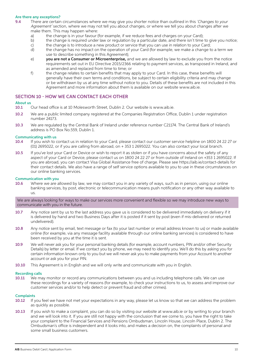#### Are there any exceptions?

- 9.4 There are certain circumstances where we may give you shorter notice than outlined in this 'Changes to your Agreement' section, where we may not tell you about changes, or where we tell you about changes after we make them. This may happen where:
	- a) the change is in your favour (for example, if we reduce fees and charges on your Card);
	- b) the change is required under law or regulation by a particular date, and there isn't time to give you notice;
	- c) the change is to introduce a new product or service that you can use in relation to your Card;
	- d) the change has no impact on the operation of your Card (for example, we make a change to a term we use to describe something in this Agreement);
	- e) you are not a Consumer or Microenterprise, and we are allowed by law to exclude you from the notice requirements set out in EU Directive 2015/2366 relating to payment services, as transposed in Ireland, and as amended and replaced from time to time; or
	- f) the change relates to certain benefits that may apply to your Card. In this case, these benefits will generally have their own terms and conditions, be subject to certain eligibility criteria and may change or be withdrawn by us at any time without notice to you. Details of these benefits are not included in this Agreement and more information about them is available on our website www.aib.ie.

#### SECTION 10 - HOW WE CAN CONTACT EACH OTHER

#### About us

- 10.1 Our head office is at 10 Molesworth Street, Dublin 2. Our website is www.aib.ie.
- 10.2 We are a public limited company registered at the Companies Registration Office, Dublin 1 under registration number 24173.
- 10.3 We are regulated by the Central Bank of Ireland under reference number C21174. The Central Bank of Ireland's address is PO Box No.559, Dublin 1.

#### Communicating with us

- 10.4 If you wish to contact us in relation to your Card, please contact our customer service helpline on 1800 24 22 27 or (01) 2695022, or if you are calling from abroad, on + 353 1 2695022. You can also contact your local branch.
- 10.5 If you've lost your Card or Device or wish to report it as stolen or if you have concerns about the safety of any aspect of your Card or Device, please contact us on 1800 24 22 27 or from outside of Ireland on +353 1 2695022. If you are abroad, you can contact Visa Global Assistance free of charge. Please see https://aib.ie/contact-details for their contact details. We also have a range of self service options available to you to use in these circumstances on our online banking services.

#### Communication with you

10.6 Where we are allowed by law, we may contact you in any variety of ways, such as in person, using our online banking services, by post, electronic or telecommunication means push notification or any other way available to us.

#### We are always looking for ways to make our services more convenient and flexible so we may introduce new ways to communicate with you in the future.

- 10.7 Any notice sent by us to the last address you gave us is considered to be delivered immediately on delivery if it is delivered by hand and two Business Days after it is posted if it sent by post (even if mis-delivered or returned undelivered).
- 10.8 Any notice sent by email, text message or fax (to your last number or email address known to us) or made available online (for example, via any message facility available through our online banking services) is considered to have been received by you at the time it is sent.
- 10.9 We will never ask you for your personal banking details (for example, account numbers, PIN and/or other Security Details) by letter or email. If we contact you by phone, we may need to identify you. We'll do this by asking you for certain information known only to you but we will never ask you to make payments from your Account to another account or ask you for your PIN.
- 10.10 This Agreement is in English and we will only write and communicate with you in English.

#### Recording calls

10.11 We may monitor or record any communications between you and us including telephone calls. We can use these recordings for a variety of reasons (for example, to check your instructions to us, to assess and improve our customer services and/or to help detect or prevent fraud and other crimes).

# Complaints<br>10.12 If

- If you feel we have not met your expectations in any way, please let us know so that we can address the problem as quickly as possible.
- 10.13 If you wish to make a complaint, you can do so by visiting our website at www.aib.ie or by writing to your branch and we will look into it. If you are still not happy with the conclusion that we come to, you have the right to take your complaint to the Financial Services and Pensions Ombudsman, Lincoln House, Lincoln Place, Dublin 2. The Ombudsman's office is independent and it looks into, and makes a decision on, the complaints of personal and some small business customers.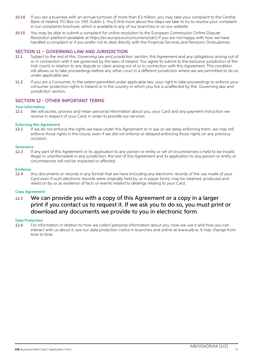- 10.14 If you are a business with an annual turnover of more than €3 million, you may take your complaint to the Central Bank of Ireland, PO Box no. 559, Dublin 1. You'll find more about the steps we take to try to resolve your complaint in our complaints brochure, which is available in any of our branches or on our website.
- 10.15 You may be able to submit a complaint for online resolution to the European Commission Online Dispute Resolution platform (available at https://ec.europa.eu/consumers/odr/) if you are not happy with how we have handled a complaint or if you prefer not to deal directly with the Financial Services and Pensions Ombudsman.

#### SECTION 11 – GOVERNING LAW AND JURISDICTION

- 11.1 Subject to the rest of this 'Governing law and jurisdiction' section, this Agreement and any obligations arising out of or in connection with it are governed by the laws of Ireland. You agree to submit to the exclusive jurisdiction of the Irish courts in relation to any dispute or claim arising out of or in connection with this Agreement. This condition still allows us to take proceedings before any other court in a different jurisdiction where we are permitted to do so under applicable law.
- 11.2 If you are a Consumer, to the extent permitted under applicable law, your right to take proceedings to enforce your consumer protection rights in Ireland or in the country in which you live is unaffected by this 'Governing law and jurisdiction' section.

#### SECTION 12 - OTHER IMPORTANT TERMS

#### Your information

12.1 We will access, process and retain personal information about you, your Card and any payment instruction we receive in respect of your Card, in order to provide our services.

#### Enforcing this Agreement

12.2 If we do not enforce the rights we have under this Agreement or in law or we delay enforcing them, we may still enforce those rights in the future, even if we did not enforce or delayed enforcing those rights on any previous occasion.

#### **Severance**

12.3 If any part of this Agreement or its application to any person or entity or set of circumstances is held to be invalid, illegal or unenforceable in any jurisdiction, the rest of this Agreement and its application to any person or entity or circumstances will not be impacted or affected.

#### Evidence

12.4 Any documents or records in any format that we have (including any electronic records of the use made of your Card even if such electronic records were originally held by us in paper form), may be retained, produced and relied on by us as evidence of facts or events related to dealings relating to your Card.

#### Copy Agreement

12.5 We can provide you with a copy of this Agreement or a copy in a larger print if you contact us to request it. If we ask you to do so, you must print or download any documents we provide to you in electronic form.

#### Data Protection

12.6 For information in relation to how we collect personal information about you, how we use it and how you can interact with us about it, see our data protection notice in branches and online at www.aib.ie. It may change from time to time.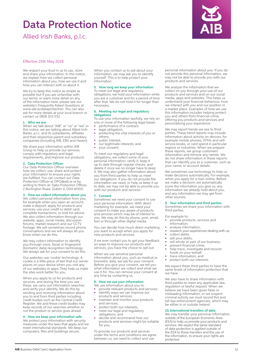# Data Protection Notice

Allied Irish Banks, p.l.c.



#### Effective 25th May 2018

We respect your trust in us to use, store and share your information. In this notice, we explain how we collect personal information about you, how we use it and how you can interact with us about it.

We try to keep this notice as simple as possible but if you are unfamiliar with our terms, or want more detail on any of the information here, please see our website's Frequently Asked Questions at www.aib.ie/dataprotection. You can also ask for more details at your local branch or contact us 0818 303 032.

#### 1. Who we are

When we talk about "AIB", or "us" or "we" in this notice, we are talking about Allied Irish Banks, p.l.c. and its subsidiaries, affiliates and their respective parent and subsidiary companies (including AIB, EBS and Haven).

We share your information within AIB Group to help us provide our services, comply with regulatory and legal requirements, and improve our products.

#### 2. Data Protection Officer

Our Data Protection Officer oversees how we collect, use, share and protect your information to ensure your rights are fulfilled. You can contact our Data Protection Officer at DPO@aib.ie or by writing to them at: Data Protection Officer, 2 Burlington Road, Dublin 4, D04 WV00.

#### 3. How we collect information about you

We collect personal information from you, for example when you open an account; make a deposit; apply for products and services; use your credit or debit card; complete transactions; or look for advice. We also collect information through our website, apps, social media, discussion forums, market research and our CCT\ footage. We will sometimes record phone conversations and we will always let you know when we do this.

We may collect information to identify you through voice, facial or fingerprint (biometric data) recognition technology. We always ask for your consent to do this.

Our websites use 'cookie' technology. A cookie is a little piece of text that our server places on your device when you visit any of our websites or apps. They help us make the sites work better for you.

When you apply to us for products and services, and during the time you use these, we carry out information searches and verify your identity. We do this by sending and receiving information about you to and from third parties including credit bodies such as the Central Credit Register. We and these credit bodies may keep records of our searches whether or not the product or service goes ahead.

#### 4. How we keep your information safe

We protect your information with security measures under the laws that apply and we meet international standards. We keep our computers, files and buildings secure.

When you contact us to ask about your information, we may ask you to identify yourself. This is to help protect your information.

#### 5. How long we keep your information

To meet our legal and regulatory obligations, we hold your information while you are a customer and for a period of time after that. We do not hold it for longer than necessary.

#### 6. Meeting our legal and regulatory obligations

To use your information lawfully, we rely on one or more of the following legal bases: • performance of a contract;

- 
- legal obligation;
- protecting the vital interests of you or others; • public interest;
- our legitimate interests; and
- your consent.

To meet our regulatory and legal obligations, we collect some of your personal information, verify it, keep it up to date through regular checks, and delete it once we no longer have to keep it. We may also gather information about you from third parties to help us meet our obligations. If you do not provide the information we need, or help us keep it up to date, we may not be able to provide you with our products and services.

#### **Consent**

Sometimes we need your consent to use your personal information. With direct marketing for example, we need your consent to make you aware of products and services which may be of interest to you. We may do this by phone, post, email, text or through other digital media.

You can decide how much direct marketing you want to accept when you apply for new products and services.

If we ever contact you to get your feedback on ways to improve our products and services, you have the choice to opt out.

When we use sensitive personal information about you, such as medical or biometric data, we ask for your consent. Before you give your consent, we tell you what information we collect and what we use it for. You can remove your consent at any time by contacting us.

#### 8. How we use your information

We use information about you to: provide relevant products and services;

- identify ways we can improve our products and services;
- maintain and monitor your products and services;
- protect both our interests;
- meet our legal and regulatory obligations; and
- decide and recommend how our products and services might be suitable for you.

To provide our products and services under the terms and conditions we agree between us, we need to collect and use

personal information about you. If you do not provide this personal information, we may not be able to provide you with our products and services.

We analyse the information that we collect on you through your use of our products and services and on our social media, apps and websites. This helps us understand your financial behaviour, how we interact with you and our position in a market place. Examples of how we use this information includes helping protect you and others from financial crime, offering you products and services and personalising your experience.

We may report trends we see to third parties. These trend reports may include information about activity on devices, for example mobile phones, ATMs and selfservice kiosks, or card spend in particular regions or industries. When we prepare these reports, we group customers' information and remove any names. We do not share information in these reports that can identify you as a customer, such as your name, or account details.

We sometimes use technology to help us make decisions automatically. For example, when you apply for a loan online. Before we make a decision, we automatically score the information you give us, any information we already hold about you, and any information we may get from other sources.

#### 9. Your information and third parties

Sometimes we share your information with third parties.

For example to:

- provide products, services and information;
- analyse information;
- research your experiences dealing with us;
- collect debts;
- sell your debts;
- sell whole or part of our business; prevent financial crime;
- help trace, investigate and recover funds on your behalf;
- trace information; and
- protect both our interests.

We expect these third parties to have the same levels of information protection that we have.

We also have to share information with third parties to meet any applicable law, regulation or lawful request. When we believe we have been given false or misleading information, or we suspect criminal activity we must record this and tell law enforcement agencies, which may be either in or outside Ireland.

#### 10.International transfers of data

We may transfer your personal information outside of the European Economic Area (EEA) to help us provide your products and services. We expect the same standard of data protection is applied outside of the EEA to these transfers and the use of the information, to ensure your rights are protected.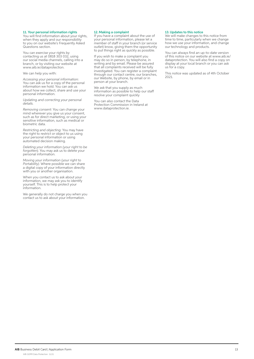#### 11. Your personal information rights

You will find information about your rights, when they apply and our responsibility to you on our website's Frequently Asked Questions section.

You can exercise your rights by contacting us at 0818 303 032, using our social media channels, calling into a branch, or by visiting our website at www.aib.ie/dataprotection.

We can help you with:

*Accessing your personal information:*  You can ask us for a copy of the personal information we hold. You can ask us about how we collect, share and use your personal information.

*Updating and correcting your personal details.* 

*Removing consent:* You can change your mind wherever you give us your consent, such as for direct marketing, or using your sensitive information, such as medical or biometric data.

*Restricting and objecting:* You may have the right to restrict or object to us using your personal information or using automated decision making.

*Deleting your information (your right to be forgotten).* You may ask us to delete your personal information.

*Moving your information (your right to Portability).* Where possible we can share a digital copy of your information directly with you or another organisation.

When you contact us to ask about your information, we may ask you to identify yourself. This is to help protect your information.

We generally do not charge you when you contact us to ask about your information.

#### 12. Making a complaint

If you have a complaint about the use of your personal information, please let a member of staff in your branch (or service outlet) know, giving them the opportunity to put things right as quickly as possible.

If you wish to make a complaint you may do so in person, by telephone, in writing and by email. Please be assured that all complaints received will be fully investigated. You can register a complaint through our contact centre, our branches, our Website, by phone, by email or in person at your branch.

We ask that you supply as much information as possible to help our staff resolve your complaint quickly

You can also contact the Data Protection Commission in Ireland at www.dataprotection.ie.

#### 13.Updates to this notice

We will make changes to this notice from time to time, particularly when we change how we use your information, and change our technology and products.

You can always find an up-to-date version of this notice on our website at www.aib.ie/ dataprotection. You will also find a copy on display at your local branch or you can ask us for a copy.

This notice was updated as of 4th October 2021.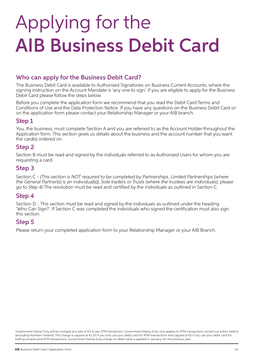# Applying for the AIB Business Debit Card

# Who can apply for the Business Debit Card?

The Business Debit Card is available to Authorised Signatories on Business Current Accounts, where the signing instruction on the Account Mandate is 'any one to sign'. If you are eligible to apply for the Business Debit Card please follow the steps below.

Before you complete the application form we recommend that you read the Debit Card Terms and Conditions of Use and the Data Protection Notice. If you have any questions on the Business Debit Card or on the application form please contact your Relationship Manager or your AIB branch.

# Step 1

You, the business, must complete Section A and you are referred to as the Account Holder throughout the Application form. This section gives us details about the business and the account number that you want the card(s) ordered on.

# Step 2

Section B must be read and signed by the individuals referred to as Authorised Users for whom you are requesting a card.

# Step 3

Section C - (This section is NOT required to be completed by Partnerships, Limited Partnerships (where the General Partner(s) is an individual(s)), Sole traders or Trusts (where the trustees are individuals); please go to Step 4) The resolution must be read and certified by the individuals as outlined in Section C.

# Step 4

Section D - This section must be read and signed by the individuals as outlined under the heading 'Who Can Sign?'. If Section C was completed the individuals who signed the certification must also sign this section.

# Step 5

Please return your completed application form to your Relationship Manager or your AIB Branch.

Government Stamp Duty will be charged at a rate of €0.12 per ATM transaction. Government Stamp Duty only applies to ATM transactions carried out within Ireland (excluding Northern Ireland). This charge is capped at €2.50 if you only use your debit card for ATM transactions and capped at €5 if you use your debit card for both purchases and ATM transactions. Government Stamp Duty charge on debit cards is applied in January, for the previous year.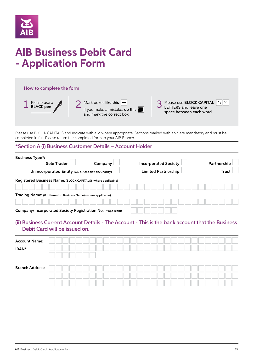

# **AIB Business Debit Card - Application Form**

#### How to complete the form

| Please use a<br><b>BLACK</b> pen | Mark boxes like this $\left  \rule{0.3cm}{0.15cm} \right $<br>If you make a mistake, <b>do this</b><br>and mark the correct box | Please use <b>BLOCK CAPITAL</b> $A \, 2$<br>LETTERS and leave one<br>space between each word |
|----------------------------------|---------------------------------------------------------------------------------------------------------------------------------|----------------------------------------------------------------------------------------------|
|                                  |                                                                                                                                 |                                                                                              |

Please use BLOCK CAPITALS and indicate with a  $\checkmark$  where appropriate. Sections marked with an \* are mandatory and must be completed in full. Please return the completed form to your AIB Branch.

## \*Section A (i) Business Customer Details – Account Holder

| <b>Business Type*:</b>                                           |         |  |  |                             |  |  |  |             |  |
|------------------------------------------------------------------|---------|--|--|-----------------------------|--|--|--|-------------|--|
| Sole Trader                                                      | Company |  |  | <b>Incorporated Society</b> |  |  |  | Partnership |  |
| Unincorporated Entity (Club/Association/Charity)                 |         |  |  | <b>Limited Partnership</b>  |  |  |  | Trust       |  |
| Registered Business Name: (BLOCK CAPITALS) (where applicable)    |         |  |  |                             |  |  |  |             |  |
|                                                                  |         |  |  |                             |  |  |  |             |  |
| Trading Name: (if different to Business Name) (where applicable) |         |  |  |                             |  |  |  |             |  |
|                                                                  |         |  |  |                             |  |  |  |             |  |
| Company/Incorporated Society Registration No: (if applicable)    |         |  |  |                             |  |  |  |             |  |

## (ii) Business Current Account Details - The Account - This is the bank account that the Business Debit Card will be issued on.

| <b>Account Name:</b>   |  |  |  |  |  |  |  |  |  |  |  |  |  |  |
|------------------------|--|--|--|--|--|--|--|--|--|--|--|--|--|--|
| IBAN*:                 |  |  |  |  |  |  |  |  |  |  |  |  |  |  |
|                        |  |  |  |  |  |  |  |  |  |  |  |  |  |  |
| <b>Branch Address:</b> |  |  |  |  |  |  |  |  |  |  |  |  |  |  |
|                        |  |  |  |  |  |  |  |  |  |  |  |  |  |  |
|                        |  |  |  |  |  |  |  |  |  |  |  |  |  |  |
|                        |  |  |  |  |  |  |  |  |  |  |  |  |  |  |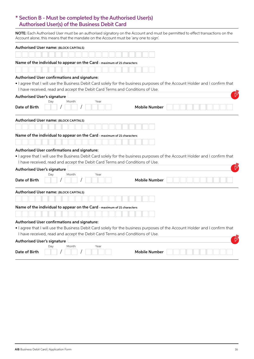# \* Section B - Must be completed by the Authorised User(s) Authorised User(s) of the Business Debit Card

NOTE: Each Authorised User must be an authorised signatory on the Account and must be permitted to effect transactions on the Account alone, this means that the mandate on the Account must be 'any one to sign'.

| Authorised User name: (BLOCK CAPITALS)                                                                                                                                                                      |                      |
|-------------------------------------------------------------------------------------------------------------------------------------------------------------------------------------------------------------|----------------------|
|                                                                                                                                                                                                             |                      |
| Name of the individual to appear on the Card - maximum of 21 characters                                                                                                                                     |                      |
|                                                                                                                                                                                                             |                      |
| Authorised User confirmations and signature:                                                                                                                                                                |                      |
| . I agree that I will use the Business Debit Card solely for the business purposes of the Account Holder and I confirm that<br>I have received, read and accept the Debit Card Terms and Conditions of Use. |                      |
| <b>Authorised User's signature</b>                                                                                                                                                                          |                      |
| Month<br>Year<br>Day<br>Date of Birth                                                                                                                                                                       | <b>Mobile Number</b> |
| Authorised User name: (BLOCK CAPITALS)                                                                                                                                                                      |                      |
|                                                                                                                                                                                                             |                      |
| Name of the individual to appear on the Card - maximum of 21 characters                                                                                                                                     |                      |
|                                                                                                                                                                                                             |                      |
| Authorised User confirmations and signature:                                                                                                                                                                |                      |
| . I agree that I will use the Business Debit Card solely for the business purposes of the Account Holder and I confirm that                                                                                 |                      |
| I have received, read and accept the Debit Card Terms and Conditions of Use.                                                                                                                                |                      |
| <b>Authorised User's signature</b>                                                                                                                                                                          |                      |
| Month<br>Year<br>Day<br>Date of Birth                                                                                                                                                                       | <b>Mobile Number</b> |
| Authorised User name: (BLOCK CAPITALS)                                                                                                                                                                      |                      |
|                                                                                                                                                                                                             |                      |
| Name of the individual to appear on the Card - maximum of 21 characters                                                                                                                                     |                      |
|                                                                                                                                                                                                             |                      |
| Authorised User confirmations and signature:                                                                                                                                                                |                      |
| . I agree that I will use the Business Debit Card solely for the business purposes of the Account Holder and I confirm that                                                                                 |                      |
| I have received, read and accept the Debit Card Terms and Conditions of Use.                                                                                                                                |                      |
| <b>Authorised User's signature</b>                                                                                                                                                                          |                      |
| Year<br>Month<br>Dav<br>Date of Birth                                                                                                                                                                       | Mobile Number        |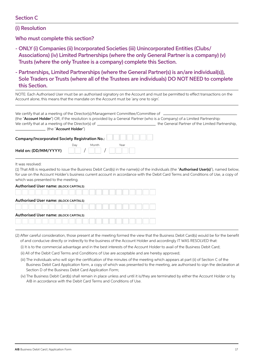## Section C

(i) Resolution

Who must complete this section?

- ONLY (i) Companies (ii) Incorporated Societies (iii) Unincorporated Entities (Clubs/ Associations) (iv) Limited Partnerships (where the only General Partner is a company) (v) Trusts (where the only Trustee is a company) complete this Section.
- Partnerships, Limited Partnerships (where the General Partner(s) is an/are individual(s)), Sole Traders or Trusts (where all of the Trustees are individuals) DO NOT NEED to complete this Section.

| NOTE: Each Authorised User must be an authorised signatory on the Account and must be permitted to effect transactions on the<br>Account alone, this means that the mandate on the Account must be 'any one to sign'.                                                                                                                                                                 |                                                 |
|---------------------------------------------------------------------------------------------------------------------------------------------------------------------------------------------------------------------------------------------------------------------------------------------------------------------------------------------------------------------------------------|-------------------------------------------------|
| We certify that at a meeting of the Director(s)/Management Committee/Committee of<br>(the "Account Holder") OR, if the resolution is provided by a General Partner (who is a Company) of a Limited Partnership:<br>We certify that at a meeting of the Director(s) of $\frac{1}{\sqrt{1-\frac{1}{2}}}\left  \frac{1}{\sqrt{1-\frac{1}{2}}}\right $<br>(the " <b>Account Holder</b> ") | the General Partner of the Limited Partnership. |
| Company/Incorporated Society Registration No.:                                                                                                                                                                                                                                                                                                                                        |                                                 |
| Day<br>Month<br>Year<br>Held on: (DD/MM/YYYY)                                                                                                                                                                                                                                                                                                                                         |                                                 |

It was resolved:

(1) That AIB is requested to issue the Business Debit Card(s) in the name(s) of the individuals (the "Authorised User(s)"), named below, for use on the Account Holder's business current account in accordance with the Debit Card Terms and Conditions of Use, a copy of which was presented to the meeting.

| <b>Authorised User name: (BLOCK CAPITALS)</b> |  |  |  |  |  |
|-----------------------------------------------|--|--|--|--|--|
|                                               |  |  |  |  |  |
| <b>Authorised User name: (BLOCK CAPITALS)</b> |  |  |  |  |  |
|                                               |  |  |  |  |  |
| Authorised User name: (BLOCK CAPITALS)        |  |  |  |  |  |
|                                               |  |  |  |  |  |

(2) After careful consideration, those present at the meeting formed the view that the Business Debit Card(s) would be for the benefit of and conducive directly or indirectly to the business of the Account Holder and accordingly IT WAS RESOLVED that:

(i) It is to the commercial advantage and in the best interests of the Account Holder to avail of the Business Debit Card;

(ii) All of the Debit Card Terms and Conditions of Use are acceptable and are hereby approved;

- (iii) The individuals who will sign the certification of the minutes of the meeting which appears at part (ii) of Section C of the Business Debit Card Application form, a copy of which was presented to the meeting, are authorised to sign the declaration at Section D of the Business Debit Card Application Form;
- (iv) The Business Debit Card(s) shall remain in place unless and until it is/they are terminated by either the Account Holder or by AIB in accordance with the Debit Card Terms and Conditions of Use.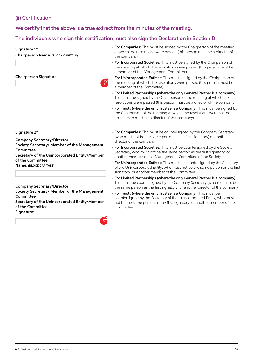# (ii) Certification

# We certify that the above is a true extract from the minutes of the meeting.

## The individuals who sign this certification must also sign the Declaration in Section D

#### Signature 1\*

Chairperson Name: (BLOCK CAPITALS)

#### Chairperson Signature:

- For Companies: This must be signed by the Chairperson of the meeting at which the resolutions were passed (this person must be a director of the company)
- For Incorporated Societies: This must be signed by the Chairperson of the meeting at which the resolutions were passed (this person must be a member of the Management Committee)
- For Unincorporated Entities: This must be signed by the Chairperson of the meeting at which the resolutions were passed (this person must be a member of the Committee)
- For Limited Partnerships (where the only General Partner is a company): This must be signed by the Chairperson of the meeting at which the resolutions were passed (this person must be a director of the company)
- For Trusts (where the only Trustee is a Company): This must be signed by the Chairperson of the meeting at which the resolutions were passed (this person must be a director of the company)

#### Signature 2\*

Company Secretary/Director Society Secretary/ Member of the Management **Committee** Secretary of the Unincorporated Entity/Member of the Committee

Name: (BLOCK CAPITALS)

#### Company Secretary/Director

Society Secretary/ Member of the Management **Committee** 

Secretary of the Unincorporated Entity/Member of the Committee Signature:



- For Companies: This must be countersigned by the Company Secretary (who must not be the same person as the first signatory) or another director of the company
- For Incorporated Societies: This must be countersigned by the Society Secretary, who must not be the same person as the first signatory, or another member of the Management Committee of the Society
- For Unincorporated Entities: This must be countersigned by the Secretary of the Unincorporated Entity, who must not be the same person as the first signatory, or another member of the Committee
- For Limited Partnerships (where the only General Partner is a company): This must be countersigned by the Company Secretary (who must not be the same person as the first signatory) or another director of the company
- For Trusts (where the only Trustee is a Company): This must be countersigned by the Secretary of the Unincorporated Entity, who must not be the same person as the first signatory, or another member of the **Committee**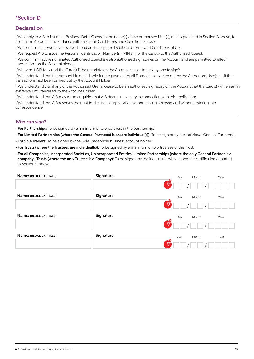## **Declaration**

I/We apply to AIB to issue the Business Debit Card(s) in the name(s) of the Authorised User(s), details provided in Section B above, for use on the Account in accordance with the Debit Card Terms and Conditions of Use;

I/We confirm that I/we have received, read and accept the Debit Card Terms and Conditions of Use;

I/We request AIB to issue the Personal Identification Number(s) ("PIN(s)") for the Card(s) to the Authorised User(s);

I/We confirm that the nominated Authorised User(s) are also authorised signatories on the Account and are permitted to effect transactions on the Account alone;

I/We permit AIB to cancel the Card(s) if the mandate on the Account ceases to be 'any one to sign';

I/We understand that the Account Holder is liable for the payment of all Transactions carried out by the Authorised User(s) as if the transactions had been carried out by the Account Holder;

I/We understand that if any of the Authorised User(s) cease to be an authorised signatory on the Account that the Card(s) will remain in existence until cancelled by the Account Holder;

I/We understand that AIB may make enquiries that AIB deems necessary in connection with this application;

I/We understand that AIB reserves the right to decline this application without giving a reason and without entering into correspondence.

### Who can sign?

- For Partnerships: To be signed by a minimum of two partners in the partnership;
- For Limited Partnerships (where the General Partner(s) is an/are individual(s)): To be signed by the individual General Partner(s);
- For Sole Traders: To be signed by the Sole Trader/sole business account holder;
- For Trusts (where the Trustees are individual(s)): To be signed by a minimum of two trustees of the Trust;
- For all Companies, Incorporated Societies, Unincorporated Entities, Limited Partnerships (where the only General Partner is a company), Trusts (where the only Trustee is a Company): To be signed by the individuals who signed the certification at part (ii) in Section C above.

| Name: (BLOCK CAPITALS) | Signature |    | Day | Month | Year |
|------------------------|-----------|----|-----|-------|------|
|                        |           | ₩  |     |       |      |
| Name: (BLOCK CAPITALS) | Signature |    | Day | Month | Year |
|                        |           | ţÝ |     |       |      |
| Name: (BLOCK CAPITALS) | Signature |    | Day | Month | Year |
|                        |           | ţÝ |     |       |      |
| Name: (BLOCK CAPITALS) | Signature |    | Day | Month | Year |
|                        |           | ₩  |     |       |      |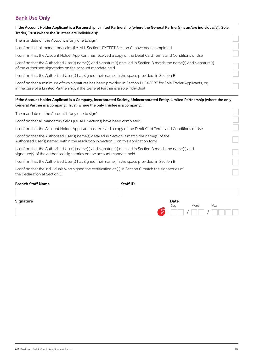# Bank Use Only

| Trader, Trust (where the Trustees are individuals):                               | If the Account Holder Applicant is a Partnership, Limited Partnership (where the General Partner(s) is an/are individual(s)), Sole                                                   |
|-----------------------------------------------------------------------------------|--------------------------------------------------------------------------------------------------------------------------------------------------------------------------------------|
| The mandate on the Account is 'any one to sign'                                   |                                                                                                                                                                                      |
|                                                                                   | I confirm that all mandatory fields (i.e. ALL Sections EXCEPT Section C) have been completed                                                                                         |
|                                                                                   | I confirm that the Account Holder Applicant has received a copy of the Debit Card Terms and Conditions of Use                                                                        |
| of the authorised signatories on the account mandate held                         | I confirm that the Authorised User(s) name(s) and signature(s) detailed in Section B match the name(s) and signature(s)                                                              |
|                                                                                   | I confirm that the Authorised User(s) has signed their name, in the space provided, in Section B                                                                                     |
| in the case of a Limited Partnership, if the General Partner is a sole individual | I confirm that a minimum of two signatures has been provided in Section D, EXCEPT for Sole Trader Applicants, or,                                                                    |
| General Partner is a company), Trust (where the only Trustee is a company):       | If the Account Holder Applicant is a Company, Incorporated Society, Unincorporated Entity, Limited Partnership (where the only                                                       |
| The mandate on the Account is 'any one to sign'                                   |                                                                                                                                                                                      |
| I confirm that all mandatory fields (i.e. ALL Sections) have been completed       |                                                                                                                                                                                      |
|                                                                                   | I confirm that the Account Holder Applicant has received a copy of the Debit Card Terms and Conditions of Use                                                                        |
|                                                                                   | I confirm that the Authorised User(s) name(s) detailed in Section B match the name(s) of the<br>Authorised User(s) named within the resolution in Section C on this application form |
| signature(s) of the authorised signatories on the account mandate held            | I confirm that the Authorised User(s) name(s) and signature(s) detailed in Section B match the name(s) and                                                                           |
|                                                                                   | I confirm that the Authorised User(s) has signed their name, in the space provided, in Section B                                                                                     |
| the declaration at Section D                                                      | I confirm that the individuals who signed the certification at (ii) in Section C match the signatories of                                                                            |
| Duais als Chaff Mai                                                               | $C+LU$ in                                                                                                                                                                            |

| <b>Branch Staff Name</b> | <b>Staff ID</b>      |
|--------------------------|----------------------|
|                          |                      |
| Signature                | Date                 |
|                          | Month<br>Day<br>Year |
|                          | Щ                    |